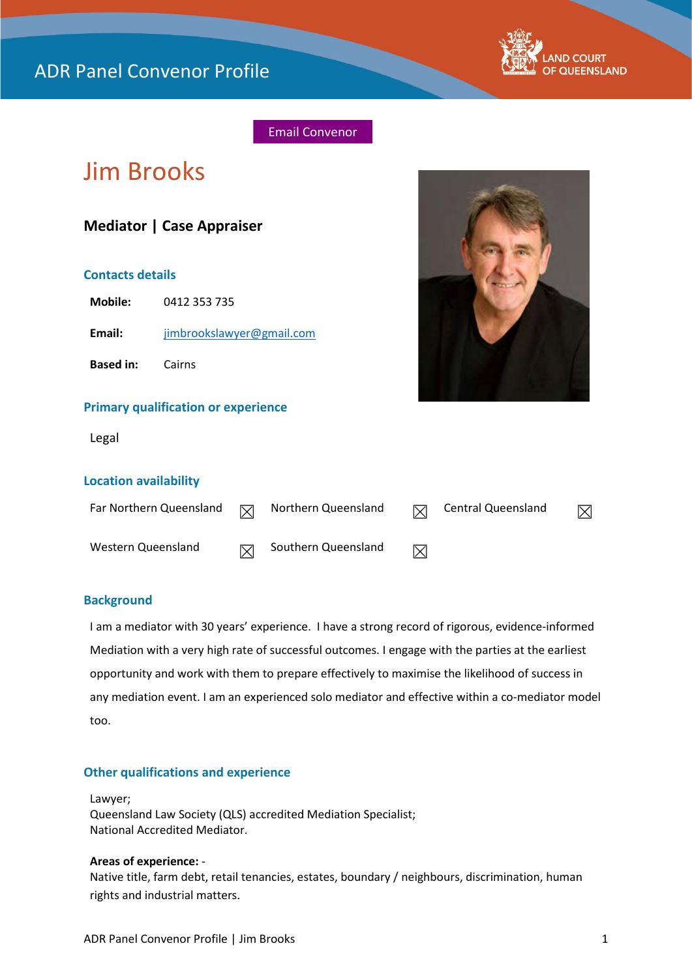

# Email Convenor

# Jim Brooks

# **Mediator | Case Appraiser**

## **Contacts details**

**Mobile:** 0412 353 735

**Email:** [jimbrookslawyer@gmail.com](mailto:jimbrookslawyer@gmail.com)

**Based in:** Cairns

## **Primary qualification or experience**

Legal

#### **Location availability**

| Far Northern Queensland | $\mathbf \nabla$ | Northern Queensland | 冈           | Central Queensland |  |
|-------------------------|------------------|---------------------|-------------|--------------------|--|
| Western Queensland      | M                | Southern Queensland | $\boxtimes$ |                    |  |

#### **Background**

I am a mediator with 30 years' experience. I have a strong record of rigorous, evidence-informed Mediation with a very high rate of successful outcomes. I engage with the parties at the earliest opportunity and work with them to prepare effectively to maximise the likelihood of success in any mediation event. I am an experienced solo mediator and effective within a co-mediator model too.

#### **Other qualifications and experience**

Lawyer; Queensland Law Society (QLS) accredited Mediation Specialist; National Accredited Mediator.

#### **Areas of experience:** -

Native title, farm debt, retail tenancies, estates, boundary / neighbours, discrimination, human rights and industrial matters.